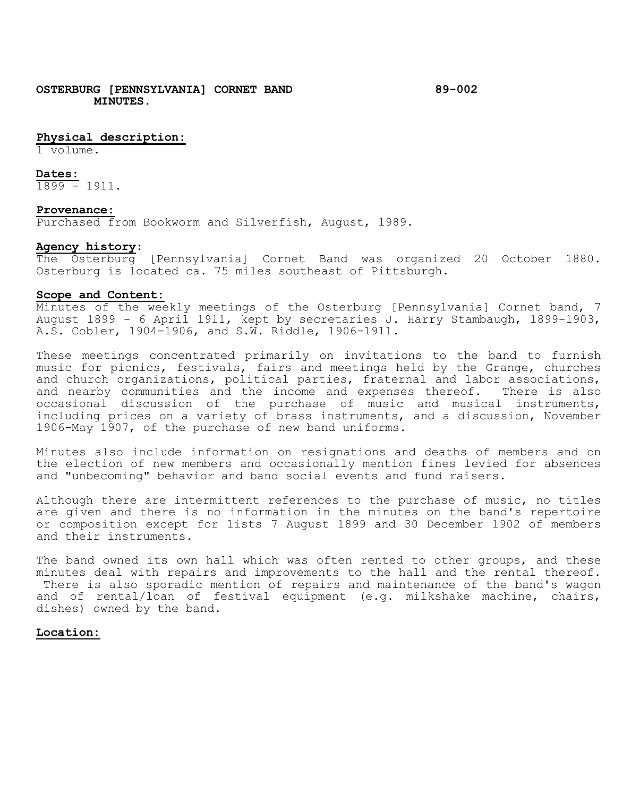# **Physical description:**

1 volume.

#### **Dates:**

1899 - 1911.

### **Provenance:**

Purchased from Bookworm and Silverfish, August, 1989.

## **Agency history**:

The Osterburg [Pennsylvania] Cornet Band was organized 20 October 1880. Osterburg is located ca. 75 miles southeast of Pittsburgh.

### **Scope and Content:**

Minutes of the weekly meetings of the Osterburg [Pennsylvania] Cornet band, 7 August 1899 - 6 April 1911, kept by secretaries J. Harry Stambaugh, 1899-1903, A.S. Cobler, 1904-1906, and S.W. Riddle, 1906-1911.

These meetings concentrated primarily on invitations to the band to furnish music for picnics, festivals, fairs and meetings held by the Grange, churches and church organizations, political parties, fraternal and labor associations, and nearby communities and the income and expenses thereof. There is also occasional discussion of the purchase of music and musical instruments, including prices on a variety of brass instruments, and a discussion, November 1906-May 1907, of the purchase of new band uniforms.

Minutes also include information on resignations and deaths of members and on the election of new members and occasionally mention fines levied for absences and "unbecoming" behavior and band social events and fund raisers.

Although there are intermittent references to the purchase of music, no titles are given and there is no information in the minutes on the band's repertoire or composition except for lists 7 August 1899 and 30 December 1902 of members and their instruments.

The band owned its own hall which was often rented to other groups, and these minutes deal with repairs and improvements to the hall and the rental thereof. There is also sporadic mention of repairs and maintenance of the band's wagon and of rental/loan of festival equipment (e.g. milkshake machine, chairs, dishes) owned by the band.

# **Location:**